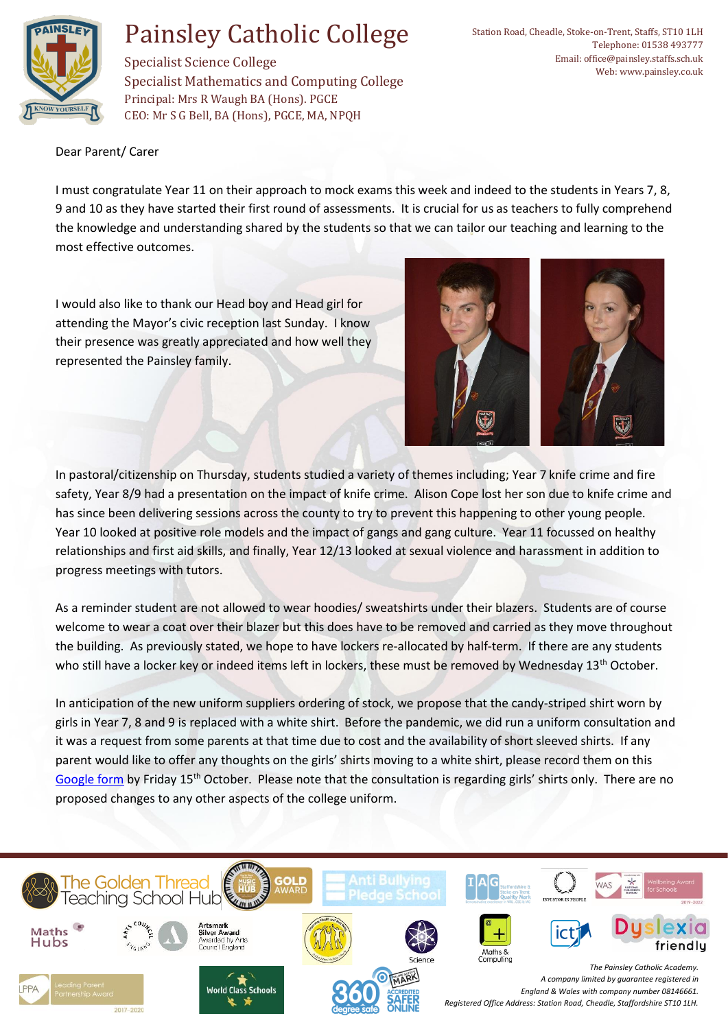

## Painsley Catholic College

Specialist Science College Specialist Mathematics and Computing College Principal: Mrs R Waugh BA (Hons). PGCE CEO: Mr S G Bell, BA (Hons), PGCE, MA, NPQH

Dear Parent/ Carer

I must congratulate Year 11 on their approach to mock exams this week and indeed to the students in Years 7, 8, 9 and 10 as they have started their first round of assessments. It is crucial for us as teachers to fully comprehend the knowledge and understanding shared by the students so that we can tailor our teaching and learning to the most effective outcomes.

I would also like to thank our Head boy and Head girl for attending the Mayor's civic reception last Sunday. I know their presence was greatly appreciated and how well they represented the Painsley family.



In pastoral/citizenship on Thursday, students studied a variety of themes including; Year 7 knife crime and fire safety, Year 8/9 had a presentation on the impact of knife crime. Alison Cope lost her son due to knife crime and has since been delivering sessions across the county to try to prevent this happening to other young people. Year 10 looked at positive role models and the impact of gangs and gang culture. Year 11 focussed on healthy relationships and first aid skills, and finally, Year 12/13 looked at sexual violence and harassment in addition to progress meetings with tutors.

As a reminder student are not allowed to wear hoodies/ sweatshirts under their blazers. Students are of course welcome to wear a coat over their blazer but this does have to be removed and carried as they move throughout the building. As previously stated, we hope to have lockers re-allocated by half-term. If there are any students who still have a locker key or indeed items left in lockers, these must be removed by Wednesday 13<sup>th</sup> October.

In anticipation of the new uniform suppliers ordering of stock, we propose that the candy-striped shirt worn by girls in Year 7, 8 and 9 is replaced with a white shirt. Before the pandemic, we did run a uniform consultation and it was a request from some parents at that time due to cost and the availability of short sleeved shirts. If any parent would like to offer any thoughts on the girls' shirts moving to a white shirt, please record them on this [Google form](https://forms.gle/mFuafDkmNDFes2Sz7) by Friday 15<sup>th</sup> October. Please note that the consultation is regarding girls' shirts only. There are no proposed changes to any other aspects of the college uniform.